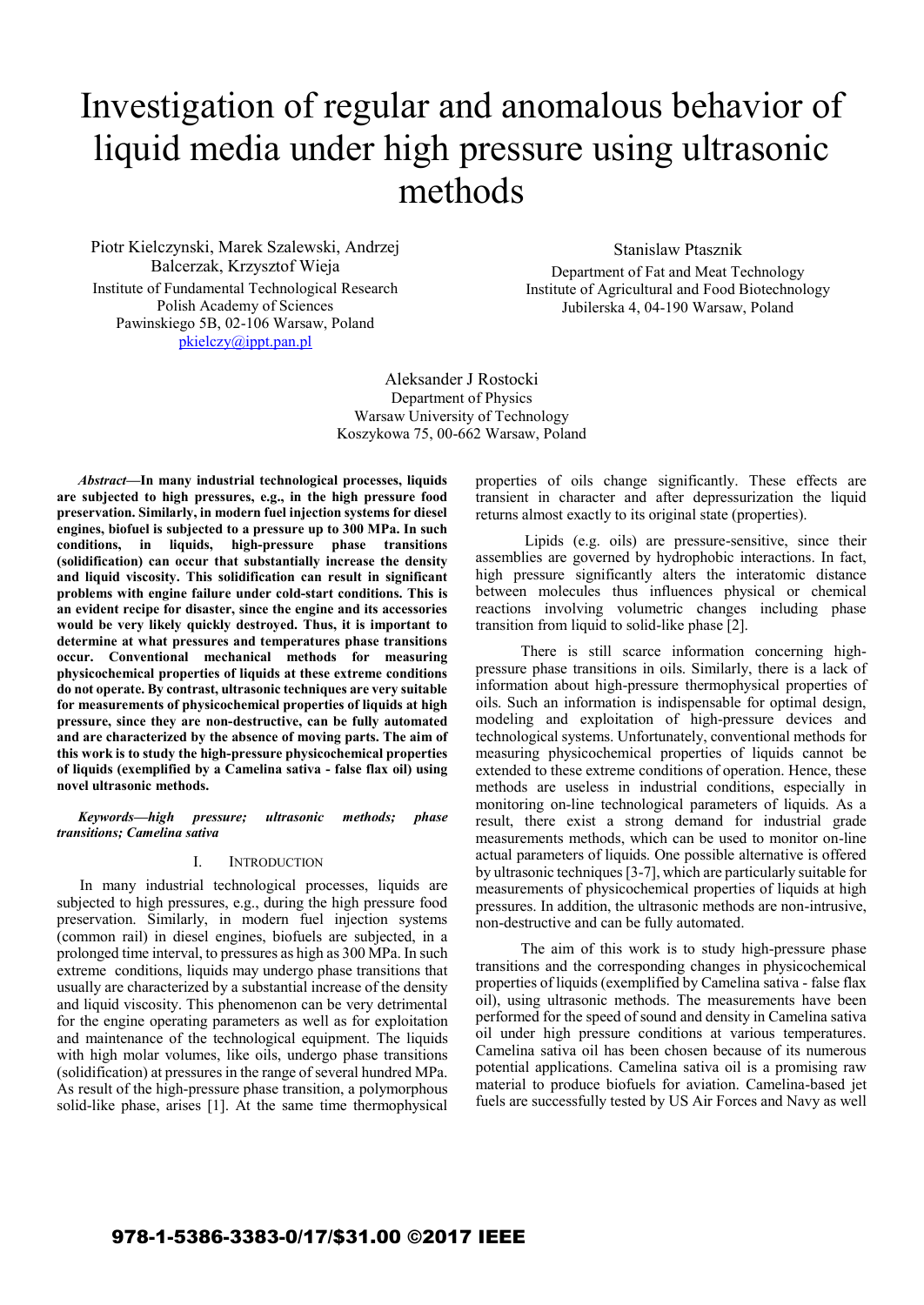# Investigation of regular and anomalous behavior of liquid media under high pressure using ultrasonic methods

Piotr Kielczynski, Marek Szalewski, Andrzej Balcerzak, Krzysztof Wieja Institute of Fundamental Technological Research Polish Academy of Sciences Pawinskiego 5B, 02-106 Warsaw, Poland pkielczy@ippt.pan.pl

Stanislaw Ptasznik Department of Fat and Meat Technology Institute of Agricultural and Food Biotechnology Jubilerska 4, 04-190 Warsaw, Poland

Aleksander J Rostocki Department of Physics Warsaw University of Technology Koszykowa 75, 00-662 Warsaw, Poland

*Abstract***—In many industrial technological processes, liquids are subjected to high pressures, e.g., in the high pressure food preservation. Similarly, in modern fuel injection systems for diesel engines, biofuel is subjected to a pressure up to 300 MPa. In such conditions, in liquids, high-pressure phase transitions (solidification) can occur that substantially increase the density and liquid viscosity. This solidification can result in significant problems with engine failure under cold-start conditions. This is an evident recipe for disaster, since the engine and its accessories would be very likely quickly destroyed. Thus, it is important to determine at what pressures and temperatures phase transitions occur. Conventional mechanical methods for measuring physicochemical properties of liquids at these extreme conditions do not operate. By contrast, ultrasonic techniques are very suitable for measurements of physicochemical properties of liquids at high pressure, since they are non-destructive, can be fully automated and are characterized by the absence of moving parts. The aim of this work is to study the high-pressure physicochemical properties of liquids (exemplified by a Camelina sativa - false flax oil) using novel ultrasonic methods.** 

*Keywords—high pressure; ultrasonic methods; phase transitions; Camelina sativa* 

## I. INTRODUCTION

 In many industrial technological processes, liquids are subjected to high pressures, e.g., during the high pressure food preservation. Similarly, in modern fuel injection systems (common rail) in diesel engines, biofuels are subjected, in a prolonged time interval, to pressures as high as 300 MPa. In such extreme conditions, liquids may undergo phase transitions that usually are characterized by a substantial increase of the density and liquid viscosity. This phenomenon can be very detrimental for the engine operating parameters as well as for exploitation and maintenance of the technological equipment. The liquids with high molar volumes, like oils, undergo phase transitions (solidification) at pressures in the range of several hundred MPa. As result of the high-pressure phase transition, a polymorphous solid-like phase, arises [1]. At the same time thermophysical properties of oils change significantly. These effects are transient in character and after depressurization the liquid returns almost exactly to its original state (properties).

 Lipids (e.g. oils) are pressure-sensitive, since their assemblies are governed by hydrophobic interactions. In fact, high pressure significantly alters the interatomic distance between molecules thus influences physical or chemical reactions involving volumetric changes including phase transition from liquid to solid-like phase [2].

 There is still scarce information concerning highpressure phase transitions in oils. Similarly, there is a lack of information about high-pressure thermophysical properties of oils. Such an information is indispensable for optimal design, modeling and exploitation of high-pressure devices and technological systems. Unfortunately, conventional methods for measuring physicochemical properties of liquids cannot be extended to these extreme conditions of operation. Hence, these methods are useless in industrial conditions, especially in monitoring on-line technological parameters of liquids. As a result, there exist a strong demand for industrial grade measurements methods, which can be used to monitor on-line actual parameters of liquids. One possible alternative is offered by ultrasonic techniques [3-7], which are particularly suitable for measurements of physicochemical properties of liquids at high pressures. In addition, the ultrasonic methods are non-intrusive, non-destructive and can be fully automated.

 The aim of this work is to study high-pressure phase transitions and the corresponding changes in physicochemical properties of liquids (exemplified by Camelina sativa - false flax oil), using ultrasonic methods. The measurements have been performed for the speed of sound and density in Camelina sativa oil under high pressure conditions at various temperatures. Camelina sativa oil has been chosen because of its numerous potential applications. Camelina sativa oil is a promising raw material to produce biofuels for aviation. Camelina-based jet fuels are successfully tested by US Air Forces and Navy as well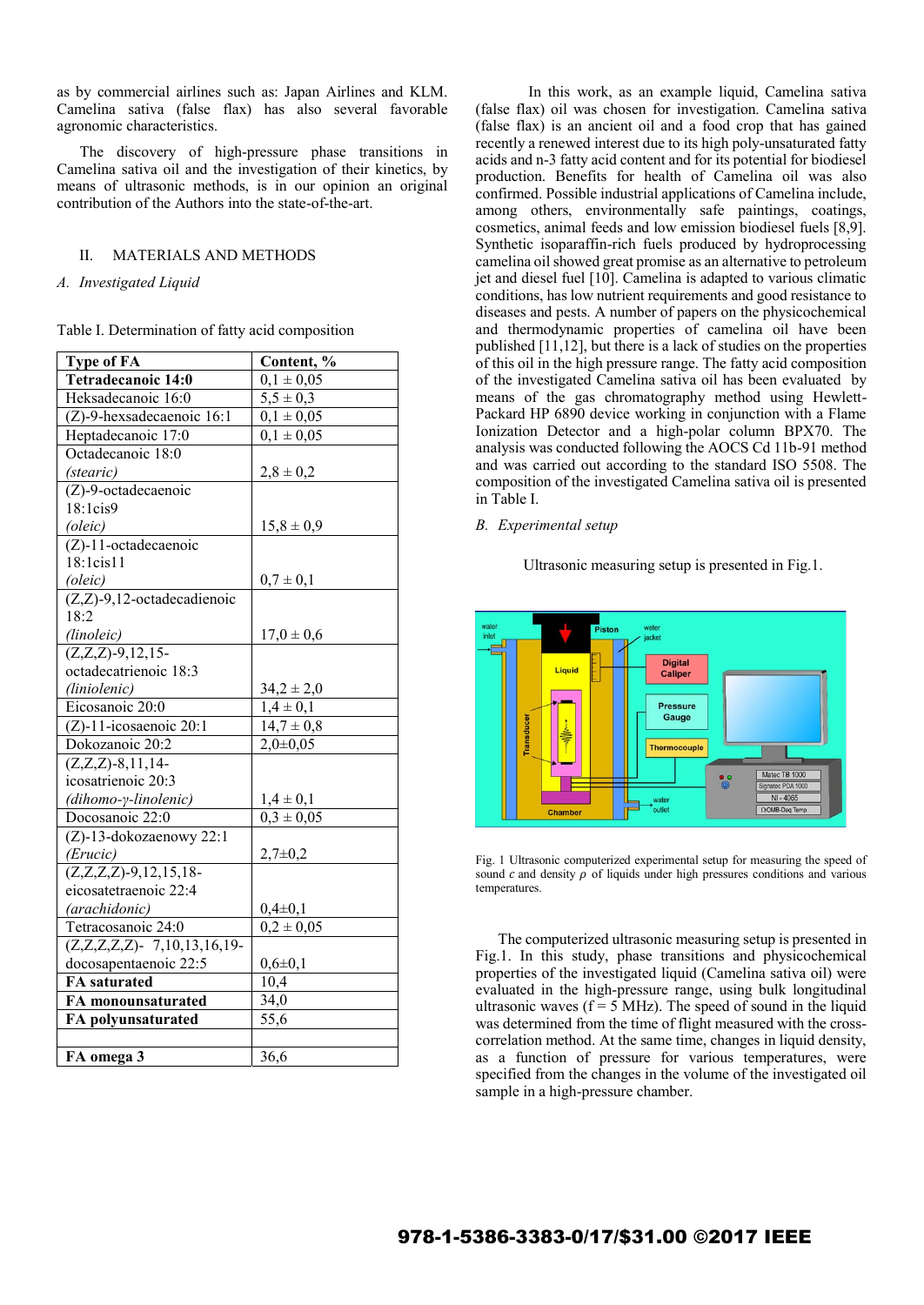as by commercial airlines such as: Japan Airlines and KLM. Camelina sativa (false flax) has also several favorable agronomic characteristics.

 The discovery of high-pressure phase transitions in Camelina sativa oil and the investigation of their kinetics, by means of ultrasonic methods, is in our opinion an original contribution of the Authors into the state-of-the-art.

# II. MATERIALS AND METHODS

## *A. Investigated Liquid*

Table I. Determination of fatty acid composition

| <b>Type of FA</b>             | Content, %     |
|-------------------------------|----------------|
| Tetradecanoic 14:0            | $0,1 \pm 0,05$ |
| Heksadecanoic 16:0            | $5,5 \pm 0,3$  |
| (Z)-9-hexsadecaenoic 16:1     | $0,1 \pm 0,05$ |
| Heptadecanoic 17:0            | $0,1 \pm 0,05$ |
| Octadecanoic 18:0             |                |
| (stearic)                     | $2,8 \pm 0,2$  |
| (Z)-9-octadecaenoic           |                |
| 18:1cis9                      |                |
| (oleic)                       | $15,8 \pm 0,9$ |
| $(Z)$ -11-octadecaenoic       |                |
| $18:1$ cis $11$               |                |
| (oleic)                       | $0,7 \pm 0,1$  |
| $(Z,Z)$ -9,12-octadecadienoic |                |
| 18:2                          |                |
| (linoleic)                    | $17,0 \pm 0,6$ |
| $(Z,Z,Z)$ -9,12,15-           |                |
| octadecatrienoic 18:3         |                |
| (liniolenic)                  | $34,2 \pm 2,0$ |
| Eicosanoic 20:0               | $1.4 \pm 0.1$  |
| $(Z)$ -11-icosaenoic 20:1     | $14,7 \pm 0,8$ |
| Dokozanoic 20:2               | $2,0+0,05$     |
| $(Z,Z,Z)$ -8,11,14-           |                |
| icosatrienoic 20:3            |                |
| (dihomo-y-linolenic)          | $1,4 \pm 0,1$  |
| Docosanoic 22:0               | $0,3 \pm 0,05$ |
| (Z)-13-dokozaenowy 22:1       |                |
| (Erucic)                      | $2,7+0,2$      |
| $(Z,Z,Z,Z)$ -9,12,15,18-      |                |
| eicosatetraenoic 22:4         |                |
| (arachidonic)                 | $0,4\pm 0,1$   |
| Tetracosanoic 24:0            | $0,2 \pm 0,05$ |
| $(Z,Z,Z,Z)$ - 7,10,13,16,19-  |                |
| docosapentaenoic 22:5         | $0,6 \pm 0,1$  |
| FA saturated                  | 10,4           |
| FA monounsaturated            | 34,0           |
| FA polyunsaturated            | 55,6           |
|                               |                |
| FA omega 3                    | 36,6           |

 In this work, as an example liquid, Camelina sativa (false flax) oil was chosen for investigation. Camelina sativa (false flax) is an ancient oil and a food crop that has gained recently a renewed interest due to its high poly-unsaturated fatty acids and n-3 fatty acid content and for its potential for biodiesel production. Benefits for health of Camelina oil was also confirmed. Possible industrial applications of Camelina include, among others, environmentally safe paintings, coatings, cosmetics, animal feeds and low emission biodiesel fuels [8,9]. Synthetic isoparaffin-rich fuels produced by hydroprocessing camelina oil showed great promise as an alternative to petroleum jet and diesel fuel [10]. Camelina is adapted to various climatic conditions, has low nutrient requirements and good resistance to diseases and pests. A number of papers on the physicochemical and thermodynamic properties of camelina oil have been published [11,12], but there is a lack of studies on the properties of this oil in the high pressure range. The fatty acid composition of the investigated Camelina sativa oil has been evaluated by means of the gas chromatography method using Hewlett-Packard HP 6890 device working in conjunction with a Flame Ionization Detector and a high-polar column BPX70. The analysis was conducted following the AOCS Cd 11b-91 method and was carried out according to the standard ISO 5508. The composition of the investigated Camelina sativa oil is presented in Table I.

# *B. Experimental setup*

Ultrasonic measuring setup is presented in Fig.1.



Fig. 1 Ultrasonic computerized experimental setup for measuring the speed of sound  $c$  and density  $\rho$  of liquids under high pressures conditions and various temperatures.

The computerized ultrasonic measuring setup is presented in Fig.1. In this study, phase transitions and physicochemical properties of the investigated liquid (Camelina sativa oil) were evaluated in the high-pressure range, using bulk longitudinal ultrasonic waves  $(f = 5 \text{ MHz})$ . The speed of sound in the liquid was determined from the time of flight measured with the crosscorrelation method. At the same time, changes in liquid density, as a function of pressure for various temperatures, were specified from the changes in the volume of the investigated oil sample in a high-pressure chamber.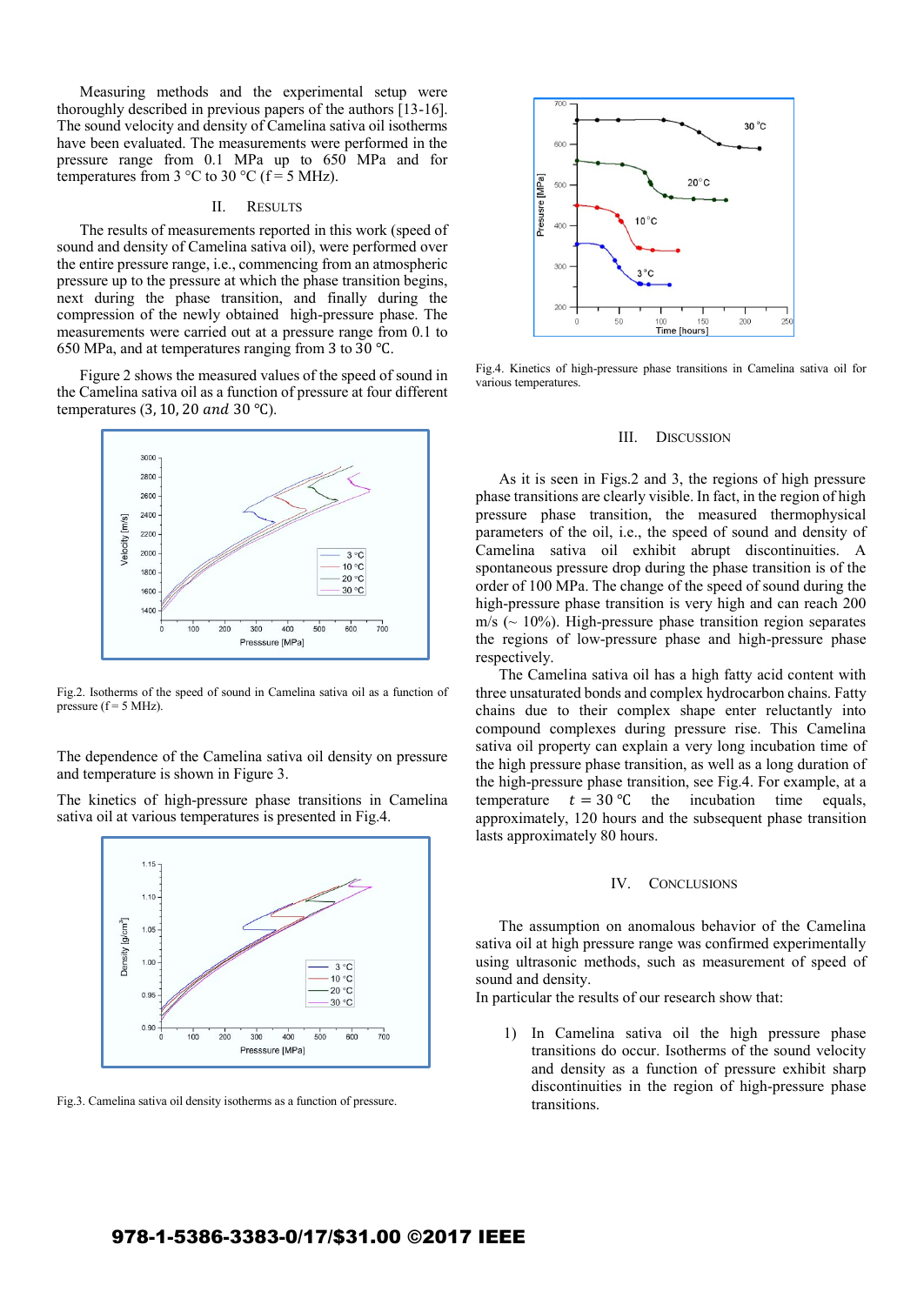Measuring methods and the experimental setup were thoroughly described in previous papers of the authors [13-16]. The sound velocity and density of Camelina sativa oil isotherms have been evaluated. The measurements were performed in the pressure range from 0.1 MPa up to 650 MPa and for temperatures from 3  $^{\circ}$ C to 30  $^{\circ}$ C (f = 5 MHz).

## II. RESULTS

 The results of measurements reported in this work (speed of sound and density of Camelina sativa oil), were performed over the entire pressure range, i.e., commencing from an atmospheric pressure up to the pressure at which the phase transition begins, next during the phase transition, and finally during the compression of the newly obtained high-pressure phase. The measurements were carried out at a pressure range from 0.1 to 650 MPa, and at temperatures ranging from 3 to 30 ℃.

 Figure 2 shows the measured values of the speed of sound in the Camelina sativa oil as a function of pressure at four different temperatures (3, 10, 20 and 30 °C).



Fig.2. Isotherms of the speed of sound in Camelina sativa oil as a function of pressure ( $f = 5$  MHz).

The dependence of the Camelina sativa oil density on pressure and temperature is shown in Figure 3.

The kinetics of high-pressure phase transitions in Camelina sativa oil at various temperatures is presented in Fig.4.



Fig.3. Camelina sativa oil density isotherms as a function of pressure.



Fig.4. Kinetics of high-pressure phase transitions in Camelina sativa oil for various temperatures.

## III. DISCUSSION

 As it is seen in Figs.2 and 3, the regions of high pressure phase transitions are clearly visible. In fact, in the region of high pressure phase transition, the measured thermophysical parameters of the oil, i.e., the speed of sound and density of Camelina sativa oil exhibit abrupt discontinuities. A spontaneous pressure drop during the phase transition is of the order of 100 MPa. The change of the speed of sound during the high-pressure phase transition is very high and can reach 200  $m/s$  ( $\sim$  10%). High-pressure phase transition region separates the regions of low-pressure phase and high-pressure phase respectively.

 The Camelina sativa oil has a high fatty acid content with three unsaturated bonds and complex hydrocarbon chains. Fatty chains due to their complex shape enter reluctantly into compound complexes during pressure rise. This Camelina sativa oil property can explain a very long incubation time of the high pressure phase transition, as well as a long duration of the high-pressure phase transition, see Fig.4. For example, at a temperature  $t = 30$  °C the incubation time equals, approximately, 120 hours and the subsequent phase transition lasts approximately 80 hours.

#### IV. CONCLUSIONS

 The assumption on anomalous behavior of the Camelina sativa oil at high pressure range was confirmed experimentally using ultrasonic methods, such as measurement of speed of sound and density.

In particular the results of our research show that:

1) In Camelina sativa oil the high pressure phase transitions do occur. Isotherms of the sound velocity and density as a function of pressure exhibit sharp discontinuities in the region of high-pressure phase transitions.